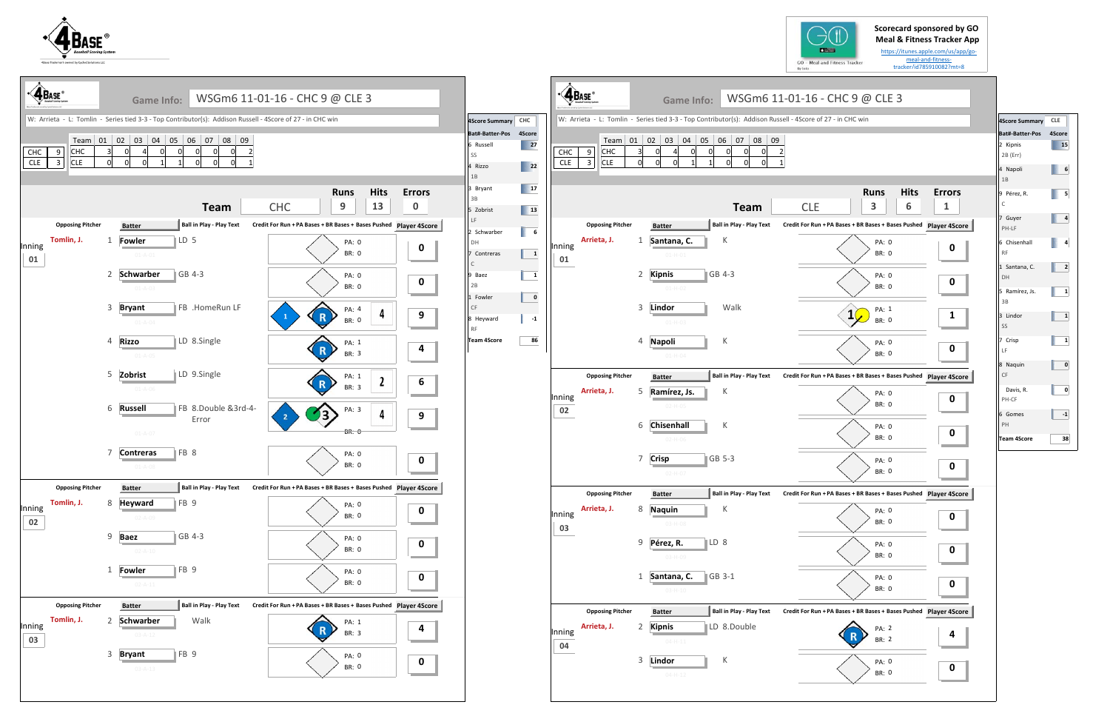**Scorecard sponsored by GO** 







|                                          |                                                                      |   |                       |             | <b>Meal &amp; Fitness Tracker App</b>                                                |  |
|------------------------------------------|----------------------------------------------------------------------|---|-----------------------|-------------|--------------------------------------------------------------------------------------|--|
|                                          | <b>City</b><br>GO - Meal and Fitness Tracker                         |   |                       |             | https://itunes.apple.com/us/app/go-<br>meal-and-fitness-<br>tracker/id785910082?mt=8 |  |
|                                          | By lolo                                                              |   |                       |             |                                                                                      |  |
|                                          | SGm6 11-01-16 - CHC 9 @ CLE 3                                        |   |                       |             |                                                                                      |  |
|                                          | Addison Russell - 4Score of 27 - in CHC win                          |   |                       |             |                                                                                      |  |
|                                          |                                                                      |   |                       |             |                                                                                      |  |
| 08<br>09<br>0<br>$\overline{\mathbf{c}}$ |                                                                      |   |                       |             |                                                                                      |  |
| 0<br>1                                   |                                                                      |   |                       |             |                                                                                      |  |
|                                          |                                                                      |   |                       |             |                                                                                      |  |
|                                          |                                                                      |   | <b>Runs</b>           | <b>Hits</b> | <b>Errors</b>                                                                        |  |
|                                          | <b>CLE</b>                                                           |   | 3                     | 6           | 1                                                                                    |  |
| - Play Text                              | Credit For Run + PA Bases + BR Bases + Bases Pushed Player 4Score    |   |                       |             |                                                                                      |  |
|                                          |                                                                      |   | PA: 0<br><b>BR: 0</b> |             | O                                                                                    |  |
|                                          |                                                                      |   |                       |             |                                                                                      |  |
|                                          |                                                                      |   | PA: 0<br><b>BR: 0</b> |             | 0                                                                                    |  |
|                                          |                                                                      |   |                       |             |                                                                                      |  |
|                                          |                                                                      | 1 | PA: 1<br><b>BR: 0</b> |             | 1                                                                                    |  |
|                                          |                                                                      |   |                       |             |                                                                                      |  |
|                                          |                                                                      |   | PA: 0                 |             | 0                                                                                    |  |
|                                          |                                                                      |   | <b>BR: 0</b>          |             |                                                                                      |  |
| - Play Text                              | Credit For Run + PA Bases + BR Bases + Bases Pushed Player 4Score    |   |                       |             |                                                                                      |  |
|                                          |                                                                      |   | PA: 0                 |             | 0                                                                                    |  |
|                                          |                                                                      |   | <b>BR: 0</b>          |             |                                                                                      |  |
|                                          |                                                                      |   | PA: 0                 |             | 0                                                                                    |  |
|                                          |                                                                      |   | <b>BR: 0</b>          |             |                                                                                      |  |
|                                          |                                                                      |   | PA: 0                 |             | 0                                                                                    |  |
|                                          |                                                                      |   | <b>BR: 0</b>          |             |                                                                                      |  |
| - Play Text                              | Credit For Run + PA Bases + BR Bases + Bases Pushed Player 4Score    |   |                       |             |                                                                                      |  |
|                                          |                                                                      |   | PA: 0                 |             | 0                                                                                    |  |
|                                          |                                                                      |   | BR: 0                 |             |                                                                                      |  |
|                                          |                                                                      |   | PA: 0                 |             | 0                                                                                    |  |
|                                          |                                                                      |   | <b>BR: 0</b>          |             |                                                                                      |  |
|                                          |                                                                      |   | PA: 0                 |             | 0                                                                                    |  |
|                                          |                                                                      |   | BR: 0                 |             |                                                                                      |  |
| - Play Text                              | Credit For Run + PA Bases + BR Bases + Bases Pushed    Player 4Score |   |                       |             |                                                                                      |  |
|                                          |                                                                      |   | <b>PA: 2</b>          |             | 4                                                                                    |  |
|                                          |                                                                      |   | <b>BR: 2</b>          |             |                                                                                      |  |
|                                          |                                                                      |   | PA: 0                 |             | 0                                                                                    |  |
|                                          |                                                                      |   | BR: 0                 |             |                                                                                      |  |

| 4Score Summary CLE        |        |
|---------------------------|--------|
| Bat#-Batter-Pos           | 4Score |
| 2 Kipnis<br>2B (Err)      | 15     |
| 4 Napoli<br>1B            | 6      |
| 9 Pérez, R.<br>Ċ          | 5      |
| 7 Guyer<br>PH-LF          | 4      |
| 6 Chisenhall<br><b>RF</b> | 4      |
| 1 Santana, C.<br>DH       | 2      |
| 5 Ramírez, Js.<br>3B      | 1      |
| 3 Lindor<br>SS            | 1      |
| 7 Crisp<br>LF             | 1      |
| 8 Naquin<br>CF            | 0      |
| Davis, R.<br>PH-CF        | 0      |
| 6 Gomes<br>PH             | -1     |
| <b>Team 4Score</b>        | 38     |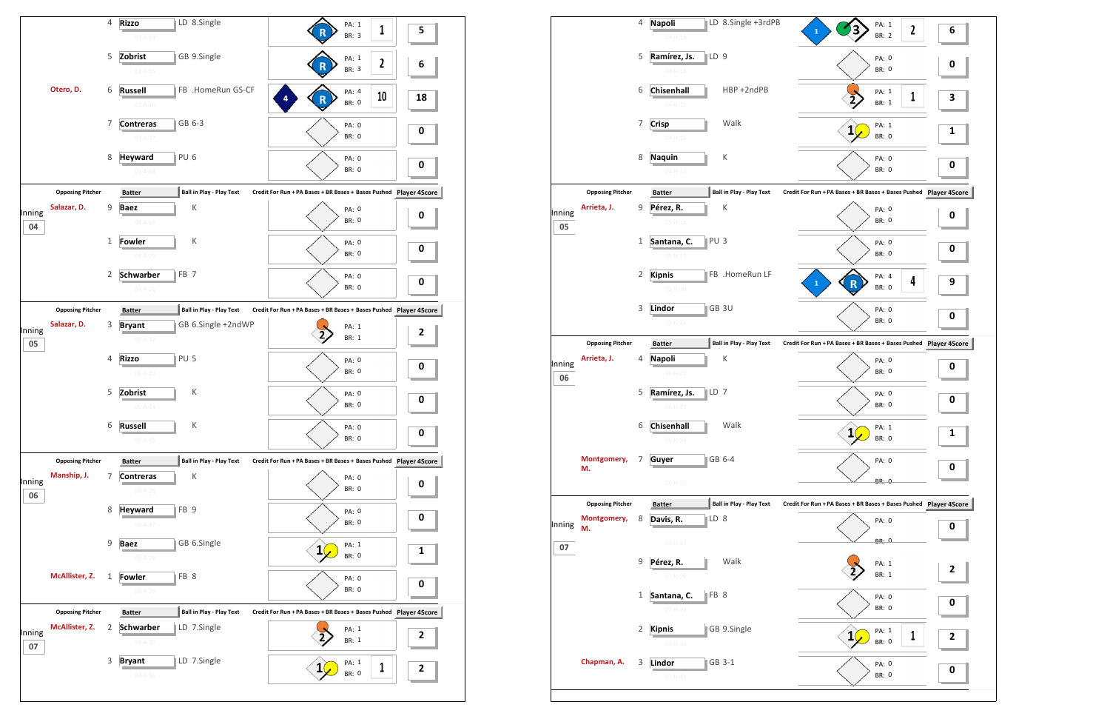

|                         | 4                                      | <b>Napoli</b>                  | LD 8.Single +3rdPB                                                                                                                           | PA: 1<br>$\mathbf{2}$                                                                                                                                                                                               | 6                                                                                                                                                                                                                                                                 |
|-------------------------|----------------------------------------|--------------------------------|----------------------------------------------------------------------------------------------------------------------------------------------|---------------------------------------------------------------------------------------------------------------------------------------------------------------------------------------------------------------------|-------------------------------------------------------------------------------------------------------------------------------------------------------------------------------------------------------------------------------------------------------------------|
|                         |                                        | $04 - H - 13$                  |                                                                                                                                              |                                                                                                                                                                                                                     |                                                                                                                                                                                                                                                                   |
|                         | 5                                      | Ramírez, Js.<br>$04 - H - 14$  |                                                                                                                                              | PA: 0<br><b>BR: 0</b>                                                                                                                                                                                               | 0                                                                                                                                                                                                                                                                 |
|                         | 6                                      | Chisenhall<br>$04 - H - 15$    | HBP +2ndPB                                                                                                                                   | PA: 1<br>1<br>BR: 1                                                                                                                                                                                                 | З                                                                                                                                                                                                                                                                 |
|                         | 7                                      | <b>Crisp</b><br>$04 - H - 16$  | Walk                                                                                                                                         | PA: 1<br>$\mathbf{1}$<br><b>BR: 0</b>                                                                                                                                                                               | <u>1</u>                                                                                                                                                                                                                                                          |
|                         | 8                                      | <b>Naquin</b>                  | К                                                                                                                                            | PA: 0<br><b>BR: 0</b>                                                                                                                                                                                               | 0                                                                                                                                                                                                                                                                 |
|                         |                                        |                                |                                                                                                                                              |                                                                                                                                                                                                                     |                                                                                                                                                                                                                                                                   |
| Arrieta, J.             | 9                                      | Pérez, R.                      | К                                                                                                                                            | PA: 0<br><b>BR: 0</b>                                                                                                                                                                                               | 0                                                                                                                                                                                                                                                                 |
|                         | $\mathbf{1}$                           | Santana, C.<br>$05 - H - 19$   |                                                                                                                                              | PA: 0<br><b>BR: 0</b>                                                                                                                                                                                               | 0                                                                                                                                                                                                                                                                 |
|                         | 2                                      | <b>Kipnis</b><br>$05-H-20$     |                                                                                                                                              | PA: 4<br>4<br>$\mathbf{1}$<br><b>BR: 0</b>                                                                                                                                                                          | 9                                                                                                                                                                                                                                                                 |
|                         | 3                                      | Lindor<br>$05-H-21$            |                                                                                                                                              | PA: 0<br><b>BR: 0</b>                                                                                                                                                                                               | 0                                                                                                                                                                                                                                                                 |
| <b>Opposing Pitcher</b> |                                        |                                |                                                                                                                                              |                                                                                                                                                                                                                     |                                                                                                                                                                                                                                                                   |
| Arrieta, J.             | 4                                      | <b>Napoli</b><br>$06-H-22$     | К                                                                                                                                            | PA: 0<br><b>BR: 0</b>                                                                                                                                                                                               | 0                                                                                                                                                                                                                                                                 |
|                         | 5                                      | Ramírez, Js.<br>$06-H-23$      |                                                                                                                                              | PA: 0<br><b>BR: 0</b>                                                                                                                                                                                               | 0                                                                                                                                                                                                                                                                 |
|                         |                                        | $06-H-24$                      | Walk                                                                                                                                         | PA: 1<br>1(<br><b>BR: 0</b>                                                                                                                                                                                         | 1                                                                                                                                                                                                                                                                 |
| Montgomery,<br>M.       | 7                                      | Guyer                          |                                                                                                                                              | PA: 0                                                                                                                                                                                                               | 0                                                                                                                                                                                                                                                                 |
|                         |                                        | $06-H-25$                      |                                                                                                                                              | <b>BR: 0</b>                                                                                                                                                                                                        |                                                                                                                                                                                                                                                                   |
| <b>Opposing Pitcher</b> |                                        | <b>Batter</b>                  |                                                                                                                                              |                                                                                                                                                                                                                     |                                                                                                                                                                                                                                                                   |
| М.                      | 8                                      |                                |                                                                                                                                              | PA: 0                                                                                                                                                                                                               | 0                                                                                                                                                                                                                                                                 |
|                         | 9                                      | Pérez, R.                      | Walk                                                                                                                                         | PA: 1                                                                                                                                                                                                               | 2                                                                                                                                                                                                                                                                 |
|                         | $\mathbf{1}$                           | Santana, C.                    |                                                                                                                                              | PA: 0                                                                                                                                                                                                               | 0                                                                                                                                                                                                                                                                 |
|                         |                                        |                                |                                                                                                                                              |                                                                                                                                                                                                                     |                                                                                                                                                                                                                                                                   |
|                         | 2                                      | <b>Kipnis</b><br>$07 - H - 30$ | GB 9.Single                                                                                                                                  | PA: 1<br>1<br>$\mathbf{1}$<br>BR: 0                                                                                                                                                                                 | 2                                                                                                                                                                                                                                                                 |
|                         | <b>Opposing Pitcher</b><br>Montgomery, |                                | $04 - H - 17$<br><b>Batter</b><br>$05-H-18$<br><b>Batter</b><br>6 Chisenhall<br>Davis, R.<br>$07 - H - 27$<br>$07 - H - 28$<br>$07 - H - 29$ | LD 9<br><b>Ball in Play - Play Text</b><br>PU <sub>3</sub><br>FB .HomeRun LF<br>GB 3U<br><b>Ball in Play - Play Text</b><br>$\mathbb{ID} 7$<br>GB 6-4<br><b>Ball in Play - Play Text</b><br>$\mathbb{ID} 8$<br>FB 8 | $\mathbf{1}$<br><b>BR: 2</b><br>Credit For Run + PA Bases + BR Bases + Bases Pushed Player 4S<br>Credit For Run + PA Bases + BR Bases + Bases Pushed Player 4S<br>Credit For Run + PA Bases + BR Bases + Bases Pushed Player 4S<br><b>BR: 0</b><br>BR: 1<br>BR: 0 |

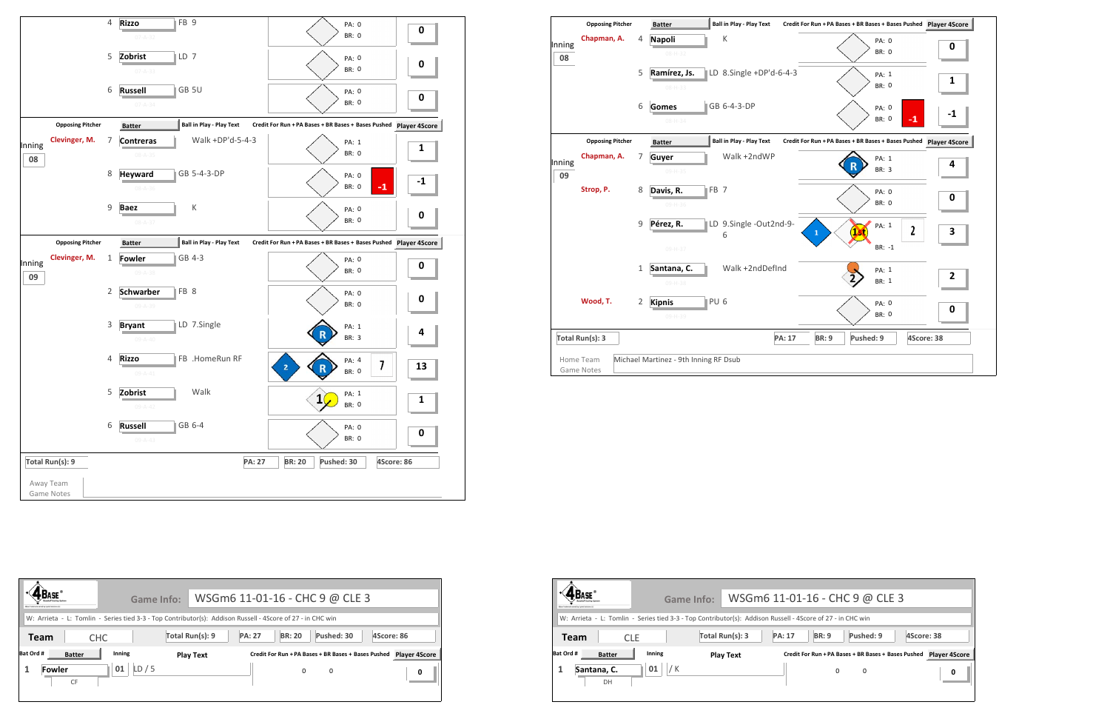



|              | <b>Opposing Pitcher</b>        |                | <b>Batter</b>                         |                 | <b>Ball in Play - Play Text</b> |               | Credit For Run + PA Bases + BR Bases + Bases Pushed Player 4S |              |
|--------------|--------------------------------|----------------|---------------------------------------|-----------------|---------------------------------|---------------|---------------------------------------------------------------|--------------|
| Inning<br>08 | Chapman, A.                    | 4              | <b>Napoli</b><br>08-H-32              |                 | К                               |               | PA: 0<br><b>BR: 0</b>                                         | 0            |
|              |                                | 5              | Ramírez, Js.<br>$08 - H - 33$         |                 | LD 8.Single +DP'd-6-4-3         |               | PA: 1<br><b>BR: 0</b>                                         | $\mathbf{1}$ |
|              |                                | 6              | <b>Gomes</b><br>08-H-34               |                 | GB 6-4-3-DP                     |               | PA: 0<br><b>BR: 0</b>                                         | $-1$         |
|              | <b>Opposing Pitcher</b>        |                | <b>Batter</b>                         |                 | <b>Ball in Play - Play Text</b> |               | Credit For Run + PA Bases + BR Bases + Bases Pushed Player 49 |              |
| Inning<br>09 | Chapman, A.                    | 7              | Guyer<br>09-H-35                      |                 | Walk +2ndWP                     |               | PA: 1<br>R<br><b>BR: 3</b>                                    | 4            |
|              | Strop, P.                      | 8              | Davis, R.<br>09-H-36                  | FB 7            |                                 |               | PA: 0<br><b>BR: 0</b>                                         | 0            |
|              |                                | $\mathsf 9$    | Pérez, R.<br>09-H-37                  |                 | LD 9.Single -Out2nd-9-<br>6     |               | PA: 1<br>2<br>$\mathbf{1}$<br>$BR: -1$                        | 3            |
|              |                                | 1              | Santana, C.<br>09-H-38                |                 | Walk +2ndDefInd                 |               | PA: 1<br><b>BR: 1</b>                                         | 2            |
|              | Wood, T.                       | $\overline{2}$ | <b>Kipnis</b><br>09-H-39              | PU <sub>6</sub> |                                 |               | PA: 0<br><b>BR: 0</b>                                         | 0            |
|              | Total Run(s): 3                |                |                                       |                 |                                 | <b>PA: 17</b> | <b>BR: 9</b><br>Pushed: 9                                     | 4Score: 38   |
|              | Home Team<br><b>Game Notes</b> |                | Michael Martinez - 9th Inning RF Dsub |                 |                                 |               |                                                               |              |

| Many Trademark manual by Carlost Schotters (A)                                                                                          | Game Info: WSGm6 11-01-16 - CHC 9 @ CLE 3 |               |                                                          |            |            |                           |
|-----------------------------------------------------------------------------------------------------------------------------------------|-------------------------------------------|---------------|----------------------------------------------------------|------------|------------|---------------------------|
| W: Arrieta - L: Tomlin - Series tied 3-3 - Top Contributor(s): Addison Russell - 4Score of 27 - in CHC win<br><b>CHC</b><br><b>Team</b> | Total Run(s): 9                           | <b>PA: 27</b> | <b>BR: 20</b>                                            | Pushed: 30 | 4Score: 86 |                           |
| Bat Ord #<br>Inning<br><b>Batter</b><br>01<br><b>Fowler</b><br><b>CF</b>                                                                | <b>Play Text</b><br>LD/5                  |               | Credit For Run + PA Bases + BR Bases + Bases Pushed<br>0 | 0          |            | <b>Player 4Score</b><br>0 |



|                                                        | Game Info:                                                                                                 | WSGm6 11-01-16 - CHC 9 @ CLE 3   |                                                     |           |            |  |
|--------------------------------------------------------|------------------------------------------------------------------------------------------------------------|----------------------------------|-----------------------------------------------------|-----------|------------|--|
| <b>EBase Trademark cwined by Cycled Schuttons (2.0</b> | W: Arrieta - L: Tomlin - Series tied 3-3 - Top Contributor(s): Addison Russell - 4Score of 27 - in CHC win |                                  |                                                     |           |            |  |
| Team                                                   | <b>CLE</b>                                                                                                 | Total Run(s): 3<br><b>PA: 17</b> | <b>BR: 9</b>                                        | Pushed: 9 | 4Score: 38 |  |
| Bat Ord #<br><b>Batter</b>                             | Inning                                                                                                     | <b>Play Text</b>                 | Credit For Run + PA Bases + BR Bases + Bases Pushed |           | Player 49  |  |
| Santana, C.<br>DH                                      | 01                                                                                                         |                                  | $\Omega$                                            | 0         |            |  |
|                                                        |                                                                                                            |                                  |                                                     |           |            |  |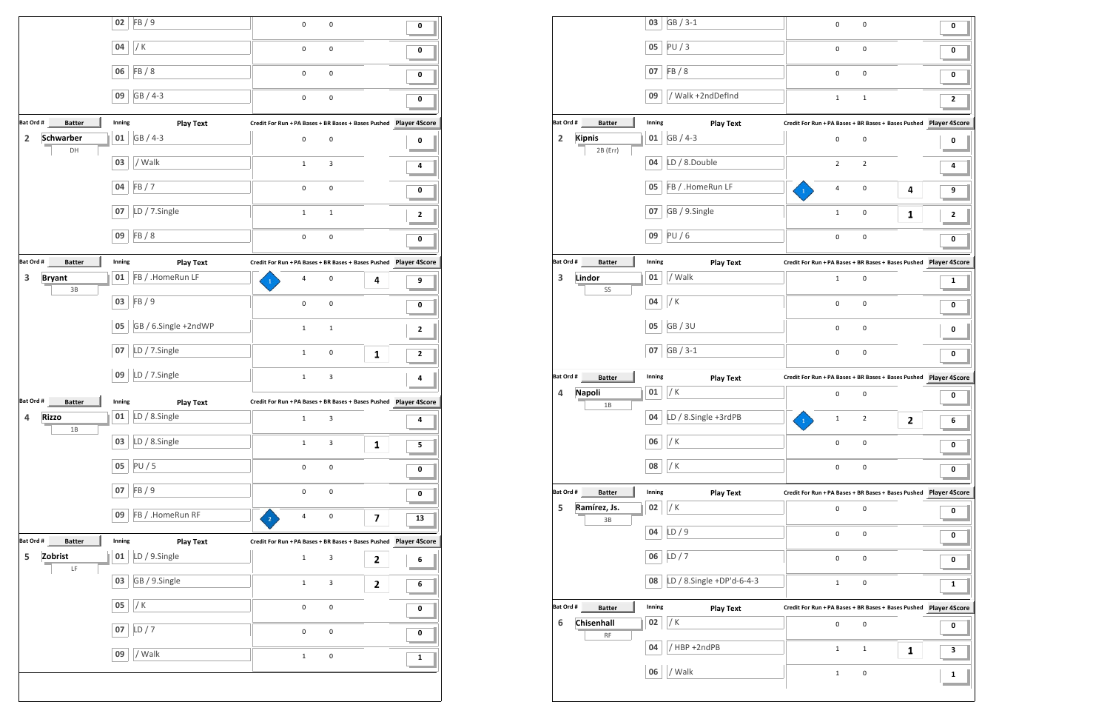|                                                                                      | 02           | FB/9                              | $\pmb{0}$                                                            | $\pmb{0}$                 |   | 0         |
|--------------------------------------------------------------------------------------|--------------|-----------------------------------|----------------------------------------------------------------------|---------------------------|---|-----------|
|                                                                                      | 04           | / $K$                             | $\pmb{0}$                                                            | $\pmb{0}$                 |   | 0         |
|                                                                                      | 06           | FB/8                              | $\pmb{0}$                                                            | $\pmb{0}$                 |   | 0         |
|                                                                                      | 09           | GB / 4-3                          | $\pmb{0}$                                                            | 0                         |   | 0         |
|                                                                                      |              |                                   |                                                                      |                           |   |           |
| Bat Ord #<br><b>Batter</b>                                                           | Inning       | <b>Play Text</b>                  | Credit For Run + PA Bases + BR Bases + Bases Pushed    Player 4Score |                           |   |           |
| $\overline{\mathbf{2}}$<br><b>Schwarber</b><br>DH                                    | 01           | GB / 4-3                          | $\pmb{0}$                                                            | $\pmb{0}$                 |   | 0         |
|                                                                                      | 03           | / Walk                            | $\mathbf{1}$                                                         | 3                         |   | 4         |
|                                                                                      | 04           | FB/7                              | $\pmb{0}$                                                            | $\pmb{0}$                 |   | 0         |
|                                                                                      | 07           | LD / 7.Single                     | $\mathbf{1}$                                                         | $\mathbf{1}$              |   | 2         |
|                                                                                      | 09           | FB/8                              | $\pmb{0}$                                                            | $\pmb{0}$                 |   | 0         |
| Bat Ord #<br><b>Batter</b>                                                           | Inning       | <b>Play Text</b>                  | Credit For Run + PA Bases + BR Bases + Bases Pushed    Player 4Score |                           |   |           |
| 3<br><b>Bryant</b>                                                                   | 01           | FB / .HomeRun LF                  | 4                                                                    | $\pmb{0}$                 | 4 | 9         |
| 3B                                                                                   | 03           | FB / 9                            | $\pmb{0}$                                                            | $\pmb{0}$                 |   | 0         |
|                                                                                      | 05           | GB / 6.Single +2ndWP              | $\mathbf{1}$                                                         | $\mathbf{1}$              |   | 2         |
|                                                                                      | 07           | LD / 7.Single                     | $\mathbf{1}$                                                         | 0                         | 1 | 2         |
|                                                                                      | 09           | LD / 7.Single                     | $\mathbf{1}$                                                         | 3                         |   | 4         |
|                                                                                      |              |                                   |                                                                      |                           |   |           |
| <b>Batter</b>                                                                        | Inning       | <b>Play Text</b>                  |                                                                      |                           |   |           |
| Rizzo<br>4                                                                           |              | $\parallel$ 01   LD / 8.Single    | $\mathbf{1}$                                                         | 3                         |   | 4         |
| $1B$                                                                                 | 03           | LD / 8.Single                     | $\mathbf 1$                                                          | $\ensuremath{\mathsf{3}}$ | 1 | 5         |
|                                                                                      | 05           | PU/5                              | $\pmb{0}$                                                            | $\pmb{0}$                 |   | 0         |
|                                                                                      | 07           | FB / 9                            | $\pmb{0}$                                                            | $\pmb{0}$                 |   | 0         |
|                                                                                      | 09           | FB / .HomeRun RF                  | $\overline{a}$<br>$\overline{2}$                                     | $\pmb{0}$                 | 7 | 13        |
| Bat Ord #                                                                            |              |                                   |                                                                      |                           |   |           |
| Batter<br>Zobrist<br>5                                                               | Inning<br>01 | <b>Play Text</b><br>LD / 9.Single | $\mathbf{1}$                                                         | $\ensuremath{\mathsf{3}}$ | 2 | 6         |
| Bat Ord #<br>$\mathsf{LF}% _{0}\left( t\right) \equiv\mathsf{LF}_{0}\left( t\right)$ | 03           | GB / 9.Single                     | $\mathbf 1$                                                          | $\ensuremath{\mathsf{3}}$ | 2 | 6         |
|                                                                                      | 05           | / $K$                             | $\pmb{0}$                                                            | $\pmb{0}$                 |   | $\pmb{0}$ |
|                                                                                      | 07           | LD/7                              | $\mathsf 0$                                                          | $\pmb{0}$                 |   | $\pmb{0}$ |

|                                          | 03     | GB / 3-1                  | 0                                                                    | 0              |   | 0         |
|------------------------------------------|--------|---------------------------|----------------------------------------------------------------------|----------------|---|-----------|
|                                          | 05     | PU/3                      | 0                                                                    | 0              |   | 0         |
|                                          | 07     | FB / 8                    | 0                                                                    | 0              |   | 0         |
|                                          | 09     | / Walk +2ndDefInd         | $\mathbf{1}$                                                         | $\mathbf 1$    |   | 2         |
| Bat Ord #<br><b>Batter</b>               | Inning | <b>Play Text</b>          |                                                                      |                |   |           |
| $\overline{\mathbf{2}}$<br><b>Kipnis</b> | 01     | GB / 4-3                  | $\mathsf{O}\xspace$                                                  | 0              |   | 0         |
| 2B (Err)                                 | 04     | LD / 8.Double             | $\overline{2}$                                                       | $\overline{2}$ |   | 4         |
|                                          | 05     | FB / .HomeRun LF          | 4                                                                    | 0              | 4 | 9         |
|                                          | 07     | GB / 9.Single             | $\mathbf 1$                                                          | 0              | 1 | 2         |
|                                          | 09     | <b>PU/6</b>               | $\mathsf{O}\xspace$                                                  | 0              |   | $\pmb{0}$ |
| Bat Ord #<br><b>Batter</b>               | Inning | <b>Play Text</b>          | Credit For Run + PA Bases + BR Bases + Bases Pushed    Player 4Score |                |   |           |
| 3<br>Lindor                              | 01     | / Walk                    | $\mathbf{1}$                                                         | 0              |   | 1         |
| SS                                       | 04     | / K                       | 0                                                                    | 0              |   | 0         |
|                                          | 05     | <b>GB/3U</b>              | 0                                                                    | 0              |   | 0         |
|                                          | 07     | GB / 3-1                  | $\mathbf 0$                                                          | 0              |   | 0         |
| Bat Ord #<br><b>Batter</b>               | Inning | <b>Play Text</b>          |                                                                      |                |   |           |
| Napoli<br>4<br>1B                        | 01     | / K                       | 0                                                                    | 0              |   | 0         |
|                                          | 04     | LD / 8.Single +3rdPB      | $\mathbf 1$<br>$\mathbf{1}$                                          | $\overline{2}$ | 2 | 6         |
|                                          | 06     | / K                       | 0                                                                    | 0              |   | 0         |
|                                          | 08     | / K                       | 0                                                                    | 0              |   | 0         |
| Bat Ord #<br><b>Batter</b>               | Inning | <b>Play Text</b>          |                                                                      |                |   |           |
| 5<br>Ramírez, Js.<br>3B                  | 02     | / K                       | 0                                                                    | 0              |   | 0         |
|                                          | 04     | LD/9                      | $\mathsf{O}\xspace$                                                  | 0              |   | 0         |
|                                          | 06     | LD/7                      | 0                                                                    | 0              |   | 0         |
|                                          | 08     | LD / 8.Single +DP'd-6-4-3 | $\mathbf{1}$                                                         | 0              |   | 1         |
| Bat Ord #<br><b>Batter</b>               | Inning | <b>Play Text</b>          | Credit For Run + PA Bases + BR Bases + Bases Pushed    Player 4Score |                |   |           |
| Chisenhall<br>6                          | 02     | / K                       | $\mathsf{O}\xspace$                                                  | 0              |   | 0         |
| $\mathsf{RF}$                            | 04     | HBP +2ndPB                | $\mathbf{1}$                                                         | $\mathbf{1}$   | 1 | 3         |
|                                          |        |                           |                                                                      |                |   |           |
|                                          | 06     | / Walk                    | $\mathbf 1$                                                          | 0              |   | 1         |

| 0              | 0                                       |   | 0                                                      |
|----------------|-----------------------------------------|---|--------------------------------------------------------|
| 0              | 0                                       |   | 0                                                      |
| 0              | 0                                       |   | 0                                                      |
| 1              | 1                                       |   | 2                                                      |
|                |                                         |   | un + PA Bases + BR Bases + Bases Pushed Player 4Score  |
| 0              | 0                                       |   | 0                                                      |
| $\overline{2}$ | $\overline{2}$                          |   | 4                                                      |
| 4              | 0                                       | 4 | 9                                                      |
| $\mathbf 1$    | 0                                       | 1 | 2                                                      |
| 0              | 0                                       |   | 0                                                      |
|                |                                         |   | un + PA Bases + BR Bases + Bases Pushed Player 4Score  |
| 1              | 0                                       |   | 1                                                      |
| $\mathbf 0$    | 0                                       |   | 0                                                      |
| 0              | 0                                       |   | 0                                                      |
| 0              | 0                                       |   | 0                                                      |
|                |                                         |   | un + PA Bases + BR Bases + Bases Pushed Player 4Score  |
| 0              | 0                                       |   | 0                                                      |
| $\mathbf 1$    | 2                                       | 2 | 6                                                      |
| 0              | 0                                       |   | 0                                                      |
| 0              | 0                                       |   | 0                                                      |
|                | un + PA Bases + BR Bases + Bases Pushed |   | <b>Player 4Score</b>                                   |
| 0              | 0                                       |   | 0                                                      |
| 0              | 0                                       |   | 0                                                      |
| 0              | 0                                       |   | 0                                                      |
| $\mathbf 1$    | 0                                       |   | 1                                                      |
|                |                                         |   | un + PA Bases + BR Bases + Bases Pushed  Player 4Score |
| 0              | 0                                       |   | 0                                                      |
| 1              | $\mathbf 1$                             | 1 | 3                                                      |
| $\mathbf 1$    | 0                                       |   | 1                                                      |
|                |                                         |   |                                                        |